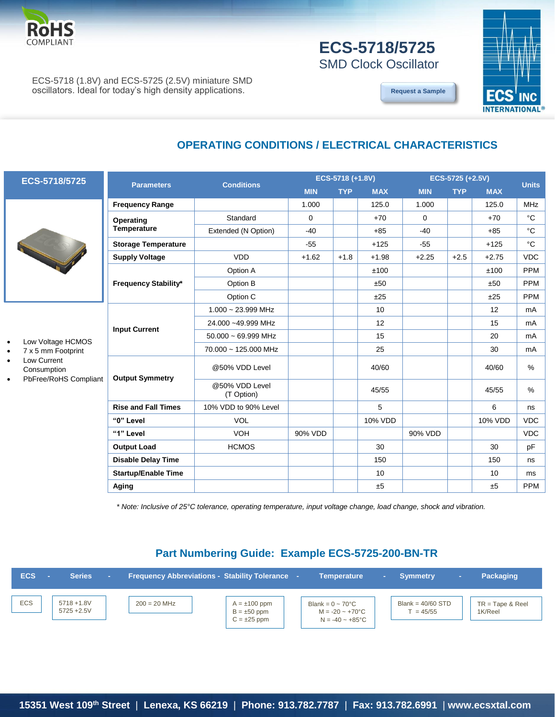

## **ECS-5718/5725** SMD Clock Oscillator

**[Request a Sample](http://ecsxtalportal.com/samplepilot/samplerequest.php)**



ECS-5718 (1.8V) and ECS-5725 (2.5V) miniature SMD oscillators. Ideal for today's high density applications.

### **OPERATING CONDITIONS / ELECTRICAL CHARACTERISTICS**



**ECS-5718/5725**

- Low Voltage HCMOS
- 7 x 5 mm Footprint
- Low Current Consumption
- PbFree/RoHS Compliant

|                             | <b>Conditions</b>            |            | ECS-5718 (+1.8V) |            | ECS-5725 (+2.5V) |            |            |              |
|-----------------------------|------------------------------|------------|------------------|------------|------------------|------------|------------|--------------|
| <b>Parameters</b>           |                              | <b>MIN</b> | <b>TYP</b>       | <b>MAX</b> | <b>MIN</b>       | <b>TYP</b> | <b>MAX</b> | <b>Units</b> |
| <b>Frequency Range</b>      |                              | 1.000      |                  | 125.0      | 1.000            |            | 125.0      | <b>MHz</b>   |
| Operating                   | Standard                     | $\Omega$   |                  | $+70$      | $\Omega$         |            | $+70$      | $^{\circ}C$  |
| <b>Temperature</b>          | Extended (N Option)          | $-40$      |                  | $+85$      | $-40$            |            | $+85$      | °C           |
| <b>Storage Temperature</b>  |                              | $-55$      |                  | $+125$     | $-55$            |            | $+125$     | $^{\circ}C$  |
| <b>Supply Voltage</b>       | <b>VDD</b>                   | $+1.62$    | $+1.8$           | $+1.98$    | $+2.25$          | $+2.5$     | $+2.75$    | <b>VDC</b>   |
|                             | Option A                     |            |                  | ±100       |                  |            | ±100       | <b>PPM</b>   |
| <b>Frequency Stability*</b> | Option B                     |            |                  | ±50        |                  |            | ±50        | <b>PPM</b>   |
|                             | Option C                     |            |                  | ±25        |                  |            | ±25        | <b>PPM</b>   |
| <b>Input Current</b>        | $1.000 \sim 23.999$ MHz      |            |                  | 10         |                  |            | 12         | mA           |
|                             | 24.000~49.999 MHz            |            |                  | 12         |                  |            | 15         | mA           |
|                             | $50.000 \sim 69.999$ MHz     |            |                  | 15         |                  |            | 20         | mA           |
|                             | 70.000 ~ 125.000 MHz         |            |                  | 25         |                  |            | 30         | mA           |
| <b>Output Symmetry</b>      | @50% VDD Level               |            |                  | 40/60      |                  |            | 40/60      | $\%$         |
|                             | @50% VDD Level<br>(T Option) |            |                  | 45/55      |                  |            | 45/55      | %            |
| <b>Rise and Fall Times</b>  | 10% VDD to 90% Level         |            |                  | 5          |                  |            | 6          | ns           |
| "0" Level                   | <b>VOL</b>                   |            |                  | 10% VDD    |                  |            | 10% VDD    | <b>VDC</b>   |
| "1" Level                   | <b>VOH</b>                   | 90% VDD    |                  |            | 90% VDD          |            |            | <b>VDC</b>   |
| <b>Output Load</b>          | <b>HCMOS</b>                 |            |                  | 30         |                  |            | 30         | pF           |
| <b>Disable Delay Time</b>   |                              |            |                  | 150        |                  |            | 150        | ns           |
| <b>Startup/Enable Time</b>  |                              |            |                  | 10         |                  |            | 10         | ms           |
| Aging                       |                              |            |                  | ±5         |                  |            | ±5         | <b>PPM</b>   |

*\* Note: Inclusive of 25°C tolerance, operating temperature, input voltage change, load change, shock and vibration.*

#### **Part Numbering Guide: Example ECS-5725-200-BN-TR**

| <b>ECS</b> | <b>Series</b>                | <b>Frequency Abbreviations - Stability Tolerance -</b> |                                                           | <b>Temperature</b>                                                                    | m. | <b>Symmetry</b>                  | <b>Packaging</b>              |
|------------|------------------------------|--------------------------------------------------------|-----------------------------------------------------------|---------------------------------------------------------------------------------------|----|----------------------------------|-------------------------------|
| <b>ECS</b> | 5718 + 1.8V<br>$5725 + 2.5V$ | $200 = 20$ MHz                                         | $A = \pm 100$ ppm<br>$B = \pm 50$ ppm<br>$C = \pm 25$ ppm | Blank = $0 \sim 70^{\circ}$ C<br>$M = -20 - +70^{\circ}C$<br>$N = -40 - +85^{\circ}C$ |    | Blank = $40/60$ STD<br>$= 45/55$ | $TR = Tape & Reel$<br>1K/Reel |